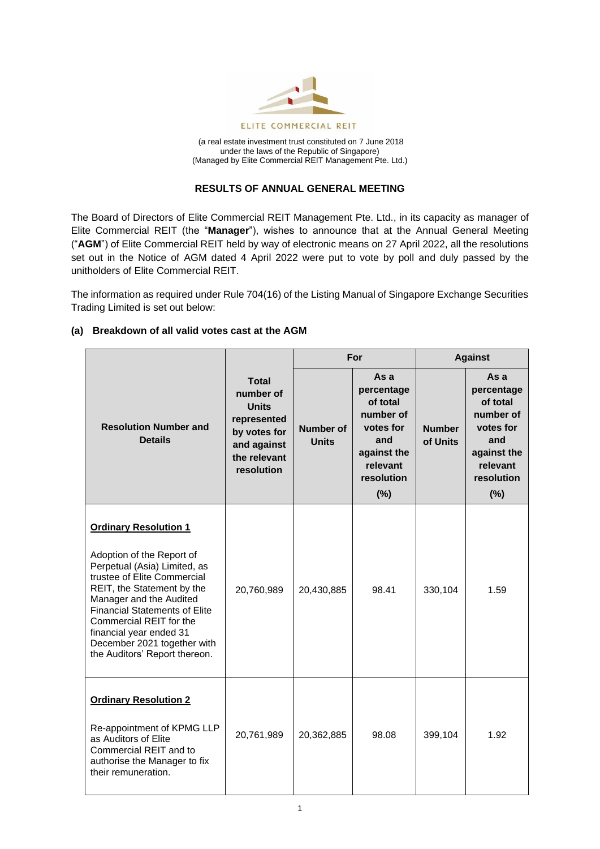

(a real estate investment trust constituted on 7 June 2018 under the laws of the Republic of Singapore) (Managed by Elite Commercial REIT Management Pte. Ltd.)

## **RESULTS OF ANNUAL GENERAL MEETING**

The Board of Directors of Elite Commercial REIT Management Pte. Ltd., in its capacity as manager of Elite Commercial REIT (the "**Manager**"), wishes to announce that at the Annual General Meeting ("**AGM**") of Elite Commercial REIT held by way of electronic means on 27 April 2022, all the resolutions set out in the Notice of AGM dated 4 April 2022 were put to vote by poll and duly passed by the unitholders of Elite Commercial REIT.

The information as required under Rule 704(16) of the Listing Manual of Singapore Exchange Securities Trading Limited is set out below:

# **(a) Breakdown of all valid votes cast at the AGM**

|                                                                                                                                                                                                                                                                                                                                                 |                                                                                                                       | For                       |                                                                                                                    | <b>Against</b>            |                                                                                                                    |
|-------------------------------------------------------------------------------------------------------------------------------------------------------------------------------------------------------------------------------------------------------------------------------------------------------------------------------------------------|-----------------------------------------------------------------------------------------------------------------------|---------------------------|--------------------------------------------------------------------------------------------------------------------|---------------------------|--------------------------------------------------------------------------------------------------------------------|
| <b>Resolution Number and</b><br><b>Details</b>                                                                                                                                                                                                                                                                                                  | <b>Total</b><br>number of<br><b>Units</b><br>represented<br>by votes for<br>and against<br>the relevant<br>resolution | Number of<br><b>Units</b> | As a<br>percentage<br>of total<br>number of<br>votes for<br>and<br>against the<br>relevant<br>resolution<br>$(\%)$ | <b>Number</b><br>of Units | As a<br>percentage<br>of total<br>number of<br>votes for<br>and<br>against the<br>relevant<br>resolution<br>$(\%)$ |
| <b>Ordinary Resolution 1</b><br>Adoption of the Report of<br>Perpetual (Asia) Limited, as<br>trustee of Elite Commercial<br>REIT, the Statement by the<br>Manager and the Audited<br><b>Financial Statements of Elite</b><br>Commercial REIT for the<br>financial year ended 31<br>December 2021 together with<br>the Auditors' Report thereon. | 20,760,989                                                                                                            | 20,430,885                | 98.41                                                                                                              | 330,104                   | 1.59                                                                                                               |
| <b>Ordinary Resolution 2</b><br>Re-appointment of KPMG LLP<br>as Auditors of Elite<br>Commercial REIT and to<br>authorise the Manager to fix<br>their remuneration.                                                                                                                                                                             | 20,761,989                                                                                                            | 20,362,885                | 98.08                                                                                                              | 399,104                   | 1.92                                                                                                               |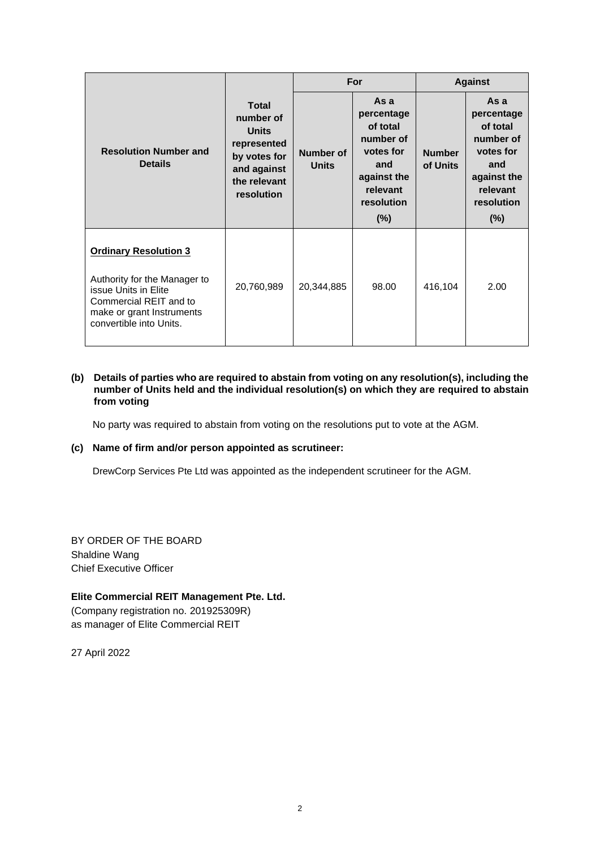|                                                                                                                                                                        |                                                                                                                       | For                       |                                                                                                                    | <b>Against</b>            |                                                                                                                    |
|------------------------------------------------------------------------------------------------------------------------------------------------------------------------|-----------------------------------------------------------------------------------------------------------------------|---------------------------|--------------------------------------------------------------------------------------------------------------------|---------------------------|--------------------------------------------------------------------------------------------------------------------|
| <b>Resolution Number and</b><br><b>Details</b>                                                                                                                         | <b>Total</b><br>number of<br><b>Units</b><br>represented<br>by votes for<br>and against<br>the relevant<br>resolution | Number of<br><b>Units</b> | As a<br>percentage<br>of total<br>number of<br>votes for<br>and<br>against the<br>relevant<br>resolution<br>$(\%)$ | <b>Number</b><br>of Units | As a<br>percentage<br>of total<br>number of<br>votes for<br>and<br>against the<br>relevant<br>resolution<br>$(\%)$ |
| <b>Ordinary Resolution 3</b><br>Authority for the Manager to<br>issue Units in Elite<br>Commercial REIT and to<br>make or grant Instruments<br>convertible into Units. | 20,760,989                                                                                                            | 20,344,885                | 98.00                                                                                                              | 416,104                   | 2.00                                                                                                               |

#### **(b) Details of parties who are required to abstain from voting on any resolution(s), including the number of Units held and the individual resolution(s) on which they are required to abstain from voting**

No party was required to abstain from voting on the resolutions put to vote at the AGM.

## **(c) Name of firm and/or person appointed as scrutineer:**

DrewCorp Services Pte Ltd was appointed as the independent scrutineer for the AGM.

BY ORDER OF THE BOARD Shaldine Wang Chief Executive Officer

## **Elite Commercial REIT Management Pte. Ltd.**

(Company registration no. 201925309R) as manager of Elite Commercial REIT

27 April 2022